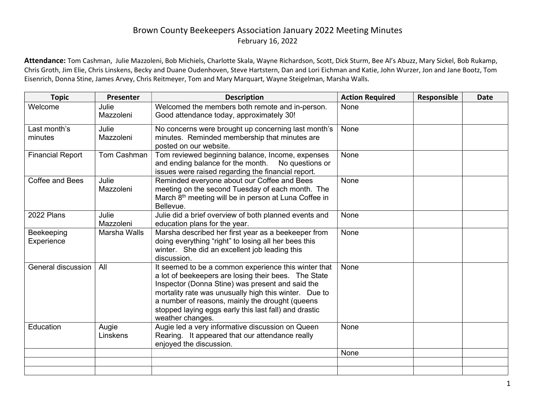## Brown County Beekeepers Association January 2022 Meeting Minutes February 16, 2022

Attendance: Tom Cashman, Julie Mazzoleni, Bob Michiels, Charlotte Skala, Wayne Richardson, Scott, Dick Sturm, Bee Al's Abuzz, Mary Sickel, Bob Rukamp, Chris Groth, Jim Elie, Chris Linskens, Becky and Duane Oudenhoven, Steve Hartstern, Dan and Lori Eichman and Katie, John Wurzer, Jon and Jane Bootz, Tom Eisenrich, Donna Stine, James Arvey, Chris Reitmeyer, Tom and Mary Marquart, Wayne Steigelman, Marsha Walls.

| <b>Topic</b>             | Presenter          | <b>Description</b>                                                                                                                                                                                                                                                                                                                                        | <b>Action Required</b> | Responsible | Date |
|--------------------------|--------------------|-----------------------------------------------------------------------------------------------------------------------------------------------------------------------------------------------------------------------------------------------------------------------------------------------------------------------------------------------------------|------------------------|-------------|------|
| Welcome                  | Julie<br>Mazzoleni | Welcomed the members both remote and in-person.<br>Good attendance today, approximately 30!                                                                                                                                                                                                                                                               | None                   |             |      |
| Last month's<br>minutes  | Julie<br>Mazzoleni | No concerns were brought up concerning last month's<br>minutes. Reminded membership that minutes are<br>posted on our website.                                                                                                                                                                                                                            | None                   |             |      |
| <b>Financial Report</b>  | Tom Cashman        | Tom reviewed beginning balance, Income, expenses<br>and ending balance for the month. No questions or<br>issues were raised regarding the financial report.                                                                                                                                                                                               | None                   |             |      |
| <b>Coffee and Bees</b>   | Julie<br>Mazzoleni | Reminded everyone about our Coffee and Bees<br>meeting on the second Tuesday of each month. The<br>March 8 <sup>th</sup> meeting will be in person at Luna Coffee in<br>Bellevue.                                                                                                                                                                         | None                   |             |      |
| 2022 Plans               | Julie<br>Mazzoleni | Julie did a brief overview of both planned events and<br>education plans for the year.                                                                                                                                                                                                                                                                    | None                   |             |      |
| Beekeeping<br>Experience | Marsha Walls       | Marsha described her first year as a beekeeper from<br>doing everything "right" to losing all her bees this<br>winter. She did an excellent job leading this<br>discussion.                                                                                                                                                                               | None                   |             |      |
| General discussion       | All                | It seemed to be a common experience this winter that<br>a lot of beekeepers are losing their bees. The State<br>Inspector (Donna Stine) was present and said the<br>mortality rate was unusually high this winter. Due to<br>a number of reasons, mainly the drought (queens<br>stopped laying eggs early this last fall) and drastic<br>weather changes. | None                   |             |      |
| Education                | Augie<br>Linskens  | Augie led a very informative discussion on Queen<br>Rearing. It appeared that our attendance really<br>enjoyed the discussion.                                                                                                                                                                                                                            | None                   |             |      |
|                          |                    |                                                                                                                                                                                                                                                                                                                                                           | None                   |             |      |
|                          |                    |                                                                                                                                                                                                                                                                                                                                                           |                        |             |      |